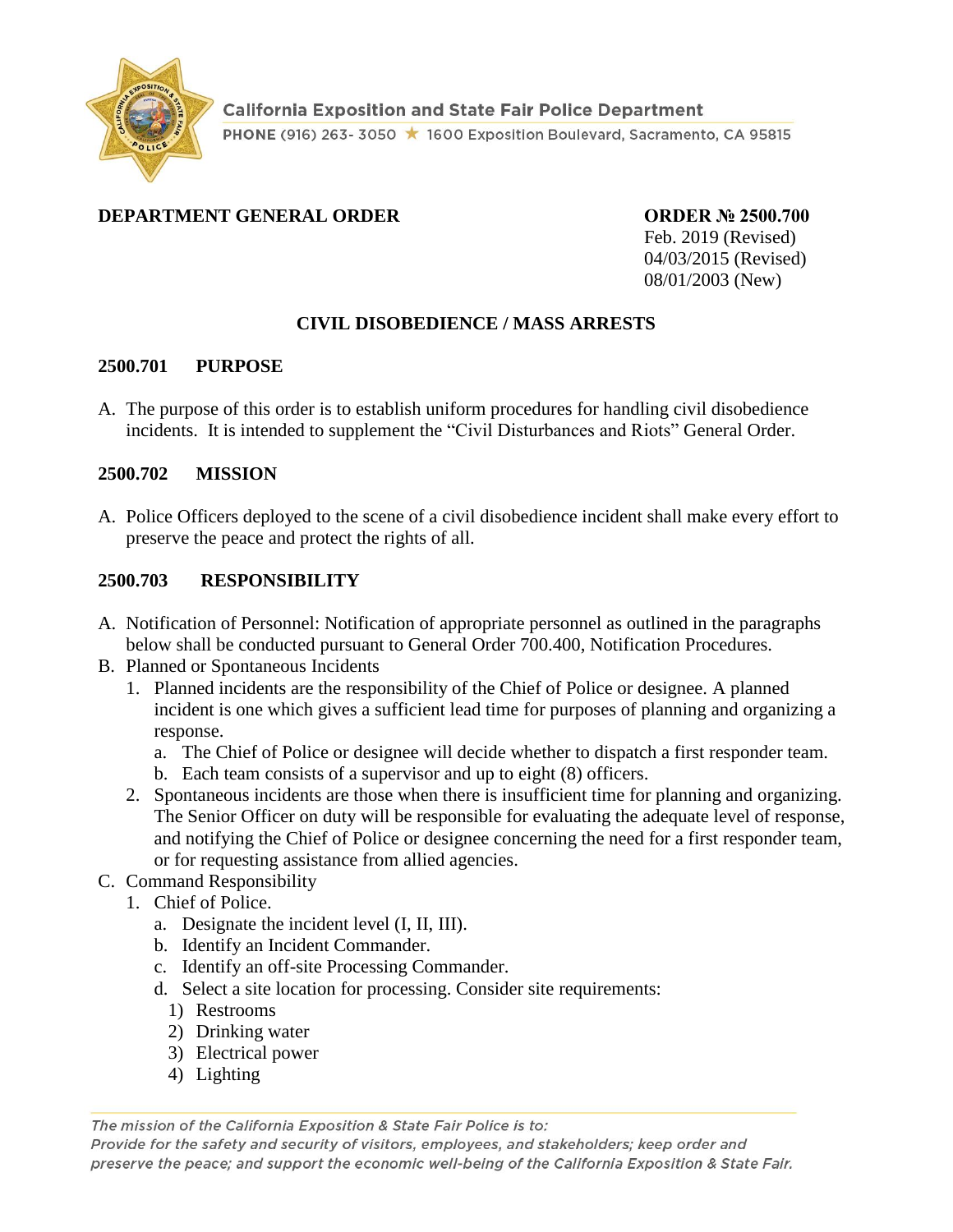

### **DEPARTMENT GENERAL ORDER ORDER № 2500.700**

Feb. 2019 (Revised) 04/03/2015 (Revised) 08/01/2003 (New)

### **CIVIL DISOBEDIENCE / MASS ARRESTS**

#### **2500.701 PURPOSE**

A. The purpose of this order is to establish uniform procedures for handling civil disobedience incidents. It is intended to supplement the "Civil Disturbances and Riots" General Order.

#### **2500.702 MISSION**

A. Police Officers deployed to the scene of a civil disobedience incident shall make every effort to preserve the peace and protect the rights of all.

### **2500.703 RESPONSIBILITY**

- A. Notification of Personnel: Notification of appropriate personnel as outlined in the paragraphs below shall be conducted pursuant to General Order 700.400, Notification Procedures.
- B. Planned or Spontaneous Incidents
	- 1. Planned incidents are the responsibility of the Chief of Police or designee. A planned incident is one which gives a sufficient lead time for purposes of planning and organizing a response.
		- a. The Chief of Police or designee will decide whether to dispatch a first responder team.
		- b. Each team consists of a supervisor and up to eight (8) officers.
	- 2. Spontaneous incidents are those when there is insufficient time for planning and organizing. The Senior Officer on duty will be responsible for evaluating the adequate level of response, and notifying the Chief of Police or designee concerning the need for a first responder team, or for requesting assistance from allied agencies.

### C. Command Responsibility

- 1. Chief of Police.
	- a. Designate the incident level (I, II, III).
	- b. Identify an Incident Commander.
	- c. Identify an off-site Processing Commander.
	- d. Select a site location for processing. Consider site requirements:
		- 1) Restrooms
		- 2) Drinking water
		- 3) Electrical power
		- 4) Lighting

The mission of the California Exposition & State Fair Police is to:

Provide for the safety and security of visitors, employees, and stakeholders; keep order and preserve the peace; and support the economic well-being of the California Exposition & State Fair.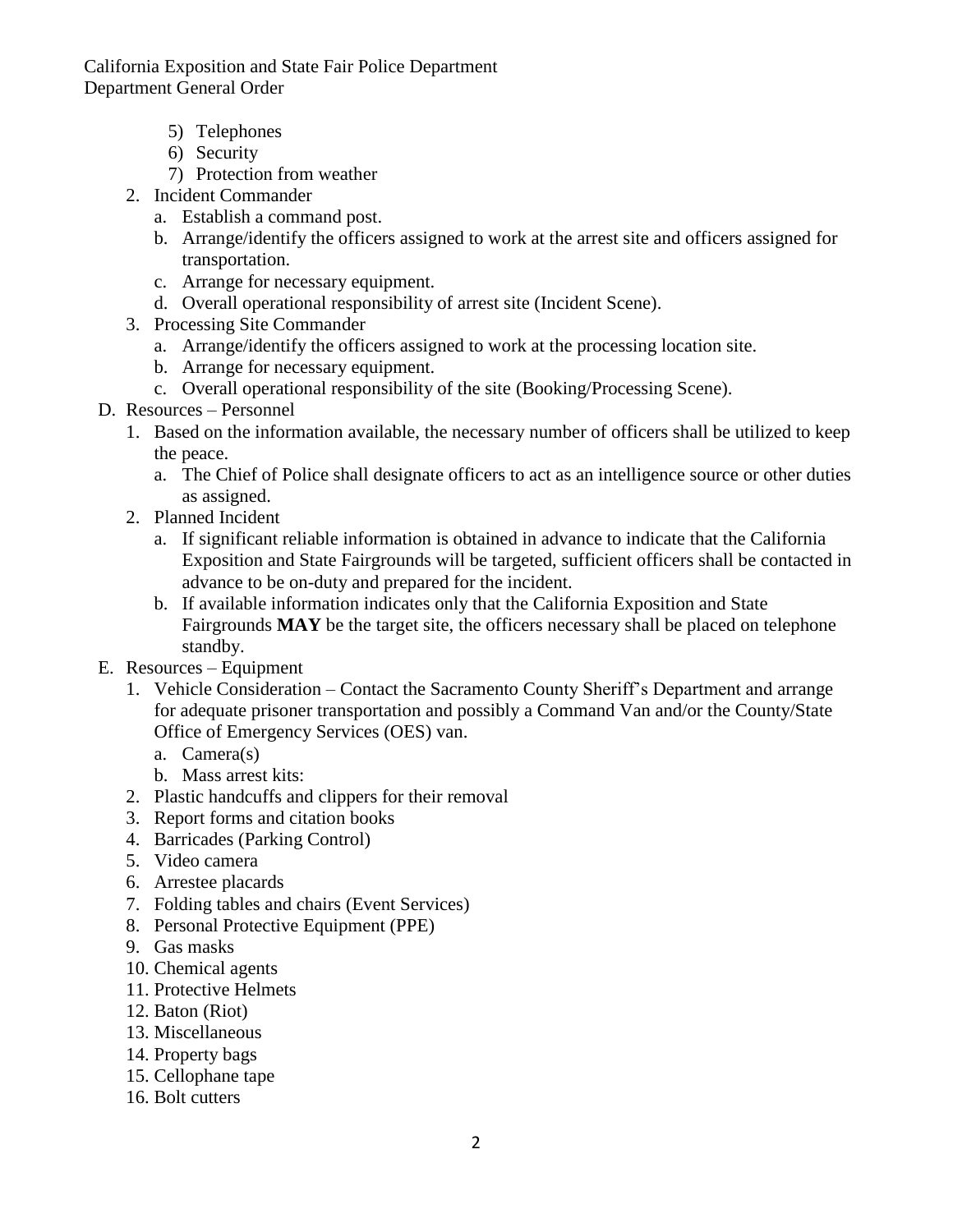California Exposition and State Fair Police Department Department General Order

- 5) Telephones
- 6) Security
- 7) Protection from weather
- 2. Incident Commander
	- a. Establish a command post.
	- b. Arrange/identify the officers assigned to work at the arrest site and officers assigned for transportation.
	- c. Arrange for necessary equipment.
	- d. Overall operational responsibility of arrest site (Incident Scene).
- 3. Processing Site Commander
	- a. Arrange/identify the officers assigned to work at the processing location site.
	- b. Arrange for necessary equipment.
	- c. Overall operational responsibility of the site (Booking/Processing Scene).
- D. Resources Personnel
	- 1. Based on the information available, the necessary number of officers shall be utilized to keep the peace.
		- a. The Chief of Police shall designate officers to act as an intelligence source or other duties as assigned.
	- 2. Planned Incident
		- a. If significant reliable information is obtained in advance to indicate that the California Exposition and State Fairgrounds will be targeted, sufficient officers shall be contacted in advance to be on-duty and prepared for the incident.
		- b. If available information indicates only that the California Exposition and State Fairgrounds **MAY** be the target site, the officers necessary shall be placed on telephone standby.
- E. Resources Equipment
	- 1. Vehicle Consideration Contact the Sacramento County Sheriff's Department and arrange for adequate prisoner transportation and possibly a Command Van and/or the County/State Office of Emergency Services (OES) van.
		- a. Camera(s)
		- b. Mass arrest kits:
	- 2. Plastic handcuffs and clippers for their removal
	- 3. Report forms and citation books
	- 4. Barricades (Parking Control)
	- 5. Video camera
	- 6. Arrestee placards
	- 7. Folding tables and chairs (Event Services)
	- 8. Personal Protective Equipment (PPE)
	- 9. Gas masks
	- 10. Chemical agents
	- 11. Protective Helmets
	- 12. Baton (Riot)
	- 13. Miscellaneous
	- 14. Property bags
	- 15. Cellophane tape
	- 16. Bolt cutters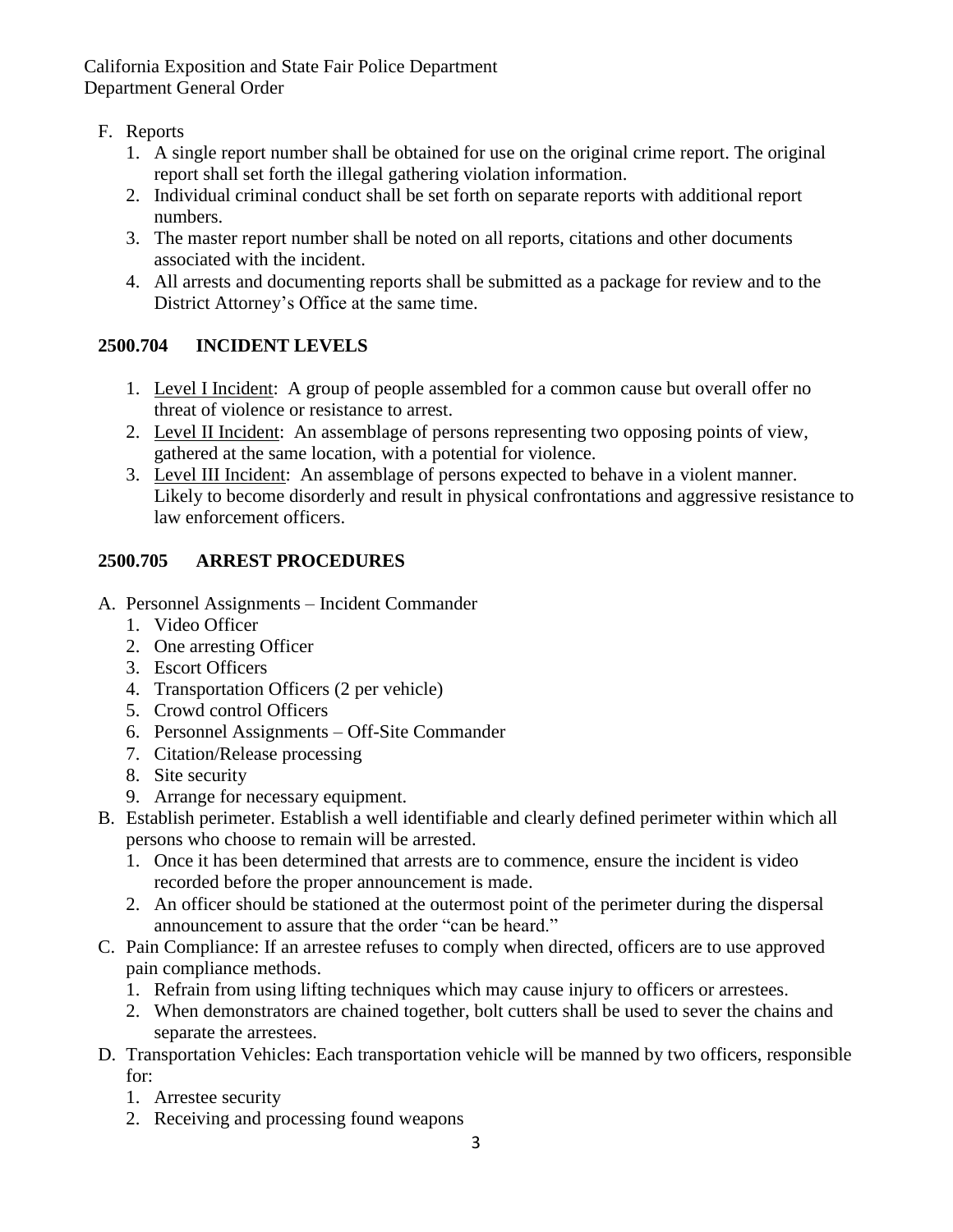California Exposition and State Fair Police Department Department General Order

### F. Reports

- 1. A single report number shall be obtained for use on the original crime report. The original report shall set forth the illegal gathering violation information.
- 2. Individual criminal conduct shall be set forth on separate reports with additional report numbers.
- 3. The master report number shall be noted on all reports, citations and other documents associated with the incident.
- 4. All arrests and documenting reports shall be submitted as a package for review and to the District Attorney's Office at the same time.

# **2500.704 INCIDENT LEVELS**

- 1. Level I Incident: A group of people assembled for a common cause but overall offer no threat of violence or resistance to arrest.
- 2. Level II Incident: An assemblage of persons representing two opposing points of view, gathered at the same location, with a potential for violence.
- 3. Level III Incident: An assemblage of persons expected to behave in a violent manner. Likely to become disorderly and result in physical confrontations and aggressive resistance to law enforcement officers.

# **2500.705 ARREST PROCEDURES**

- A. Personnel Assignments Incident Commander
	- 1. Video Officer
	- 2. One arresting Officer
	- 3. Escort Officers
	- 4. Transportation Officers (2 per vehicle)
	- 5. Crowd control Officers
	- 6. Personnel Assignments Off-Site Commander
	- 7. Citation/Release processing
	- 8. Site security
	- 9. Arrange for necessary equipment.
- B. Establish perimeter. Establish a well identifiable and clearly defined perimeter within which all persons who choose to remain will be arrested.
	- 1. Once it has been determined that arrests are to commence, ensure the incident is video recorded before the proper announcement is made.
	- 2. An officer should be stationed at the outermost point of the perimeter during the dispersal announcement to assure that the order "can be heard."
- C. Pain Compliance: If an arrestee refuses to comply when directed, officers are to use approved pain compliance methods.
	- 1. Refrain from using lifting techniques which may cause injury to officers or arrestees.
	- 2. When demonstrators are chained together, bolt cutters shall be used to sever the chains and separate the arrestees.
- D. Transportation Vehicles: Each transportation vehicle will be manned by two officers, responsible for:
	- 1. Arrestee security
	- 2. Receiving and processing found weapons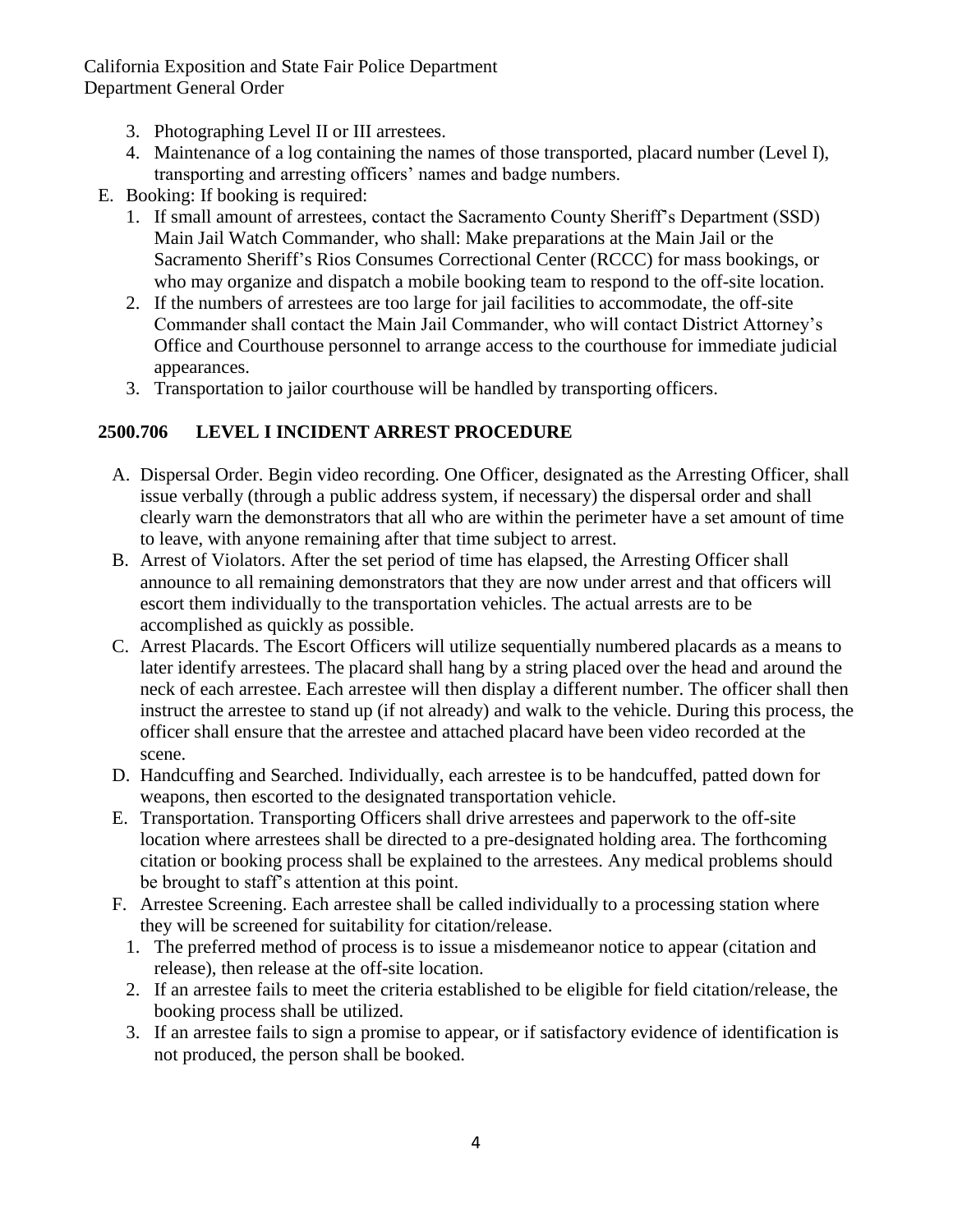California Exposition and State Fair Police Department Department General Order

- 3. Photographing Level II or III arrestees.
- 4. Maintenance of a log containing the names of those transported, placard number (Level I), transporting and arresting officers' names and badge numbers.
- E. Booking: If booking is required:
	- 1. If small amount of arrestees, contact the Sacramento County Sheriff's Department (SSD) Main Jail Watch Commander, who shall: Make preparations at the Main Jail or the Sacramento Sheriff's Rios Consumes Correctional Center (RCCC) for mass bookings, or who may organize and dispatch a mobile booking team to respond to the off-site location.
	- 2. If the numbers of arrestees are too large for jail facilities to accommodate, the off-site Commander shall contact the Main Jail Commander, who will contact District Attorney's Office and Courthouse personnel to arrange access to the courthouse for immediate judicial appearances.
	- 3. Transportation to jailor courthouse will be handled by transporting officers.

## **2500.706 LEVEL I INCIDENT ARREST PROCEDURE**

- A. Dispersal Order. Begin video recording. One Officer, designated as the Arresting Officer, shall issue verbally (through a public address system, if necessary) the dispersal order and shall clearly warn the demonstrators that all who are within the perimeter have a set amount of time to leave, with anyone remaining after that time subject to arrest.
- B. Arrest of Violators. After the set period of time has elapsed, the Arresting Officer shall announce to all remaining demonstrators that they are now under arrest and that officers will escort them individually to the transportation vehicles. The actual arrests are to be accomplished as quickly as possible.
- C. Arrest Placards. The Escort Officers will utilize sequentially numbered placards as a means to later identify arrestees. The placard shall hang by a string placed over the head and around the neck of each arrestee. Each arrestee will then display a different number. The officer shall then instruct the arrestee to stand up (if not already) and walk to the vehicle. During this process, the officer shall ensure that the arrestee and attached placard have been video recorded at the scene.
- D. Handcuffing and Searched. Individually, each arrestee is to be handcuffed, patted down for weapons, then escorted to the designated transportation vehicle.
- E. Transportation. Transporting Officers shall drive arrestees and paperwork to the off-site location where arrestees shall be directed to a pre-designated holding area. The forthcoming citation or booking process shall be explained to the arrestees. Any medical problems should be brought to staff's attention at this point.
- F. Arrestee Screening. Each arrestee shall be called individually to a processing station where they will be screened for suitability for citation/release.
	- 1. The preferred method of process is to issue a misdemeanor notice to appear (citation and release), then release at the off-site location.
	- 2. If an arrestee fails to meet the criteria established to be eligible for field citation/release, the booking process shall be utilized.
	- 3. If an arrestee fails to sign a promise to appear, or if satisfactory evidence of identification is not produced, the person shall be booked.